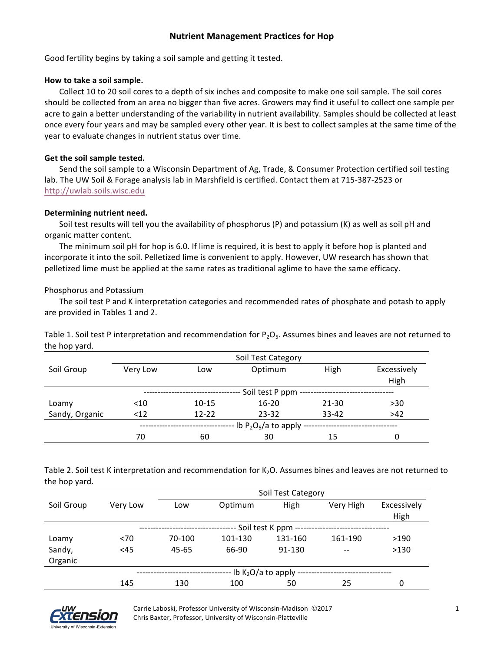# **Nutrient Management Practices for Hop**

Good fertility begins by taking a soil sample and getting it tested.

#### How to take a soil sample.

Collect 10 to 20 soil cores to a depth of six inches and composite to make one soil sample. The soil cores should be collected from an area no bigger than five acres. Growers may find it useful to collect one sample per acre to gain a better understanding of the variability in nutrient availability. Samples should be collected at least once every four years and may be sampled every other year. It is best to collect samples at the same time of the year to evaluate changes in nutrient status over time.

### Get the soil sample tested.

Send the soil sample to a Wisconsin Department of Ag, Trade, & Consumer Protection certified soil testing lab. The UW Soil & Forage analysis lab in Marshfield is certified. Contact them at 715-387-2523 or http://uwlab.soils.wisc.edu

#### **Determining nutrient need.**

Soil test results will tell you the availability of phosphorus (P) and potassium (K) as well as soil pH and organic matter content.

The minimum soil  $pH$  for hop is 6.0. If lime is required, it is best to apply it before hop is planted and incorporate it into the soil. Pelletized lime is convenient to apply. However, UW research has shown that pelletized lime must be applied at the same rates as traditional aglime to have the same efficacy.

#### Phosphorus and Potassium

The soil test P and K interpretation categories and recommended rates of phosphate and potash to apply are provided in Tables 1 and 2.

Table 1. Soil test P interpretation and recommendation for  $P_2O_5$ . Assumes bines and leaves are not returned to the hop yard.

|                | Soil Test Category        |           |           |           |                     |  |
|----------------|---------------------------|-----------|-----------|-----------|---------------------|--|
| Soil Group     | Very Low                  | Low       | Optimum   | High      | Excessively<br>High |  |
|                | Soil test P ppm           |           |           |           |                     |  |
| Loamy          | $<$ 10                    | $10 - 15$ | $16 - 20$ | $21 - 30$ | $>30$               |  |
| Sandy, Organic | < 12                      | $12 - 22$ | $23 - 32$ | $33 - 42$ | $>42$               |  |
|                | lb $P_2O_5/a$ to apply -- |           |           |           |                     |  |
|                | 70                        | 60        | 30        | 15        | 0                   |  |

Table 2. Soil test K interpretation and recommendation for K<sub>2</sub>O. Assumes bines and leaves are not returned to the hop yard.

|            |          | Soil Test Category          |         |         |           |             |  |
|------------|----------|-----------------------------|---------|---------|-----------|-------------|--|
| Soil Group | Very Low | Low                         | Optimum | High    | Very High | Excessively |  |
|            |          |                             |         |         |           | High        |  |
|            |          | Soil test K ppm             |         |         |           |             |  |
| Loamy      | < 70     | 70-100                      | 101-130 | 131-160 | 161-190   | >190        |  |
| Sandy,     | <45      | 45-65                       | 66-90   | 91-130  | $- -$     | >130        |  |
| Organic    |          |                             |         |         |           |             |  |
|            |          | $-$ lb $K2O/a$ to apply $-$ |         |         |           |             |  |
|            | 145      | 130                         | 100     | 50      | 25        | 0           |  |



Carrie Laboski, Professor University of Wisconsin-Madison  $\odot$ 2017 Chris Baxter, Professor, University of Wisconsin-Platteville